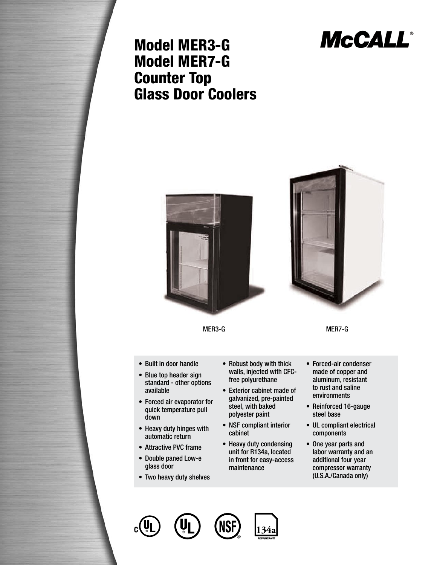

## Model MER3-G Model MER7-G Counter Top Glass Door Coolers



- Double paned Low-e glass door
- Two heavy duty shelves
- in front for easy-access maintenance
- labor warranty and an additional four year compressor warranty (U.S.A./Canada only)